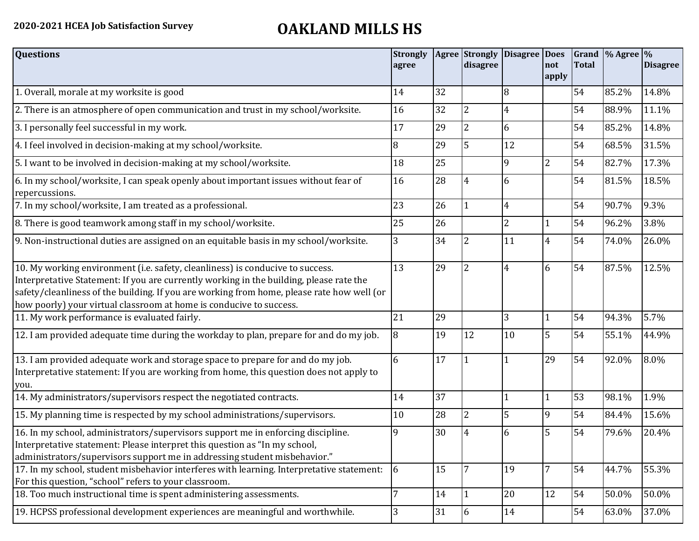## **2020-2021 HCEA Job Satisfaction Survey OAKLAND MILLS HS**

| <b>Questions</b>                                                                                                                                                                                                                                                                                                                               | <b>Strongly</b><br>agree |    | disagree       | Agree Strongly Disagree Does | not<br>apply   | <b>Total</b> | Grand % Agree % | <b>Disagree</b> |
|------------------------------------------------------------------------------------------------------------------------------------------------------------------------------------------------------------------------------------------------------------------------------------------------------------------------------------------------|--------------------------|----|----------------|------------------------------|----------------|--------------|-----------------|-----------------|
| 1. Overall, morale at my worksite is good                                                                                                                                                                                                                                                                                                      | 14                       | 32 |                | 8                            |                | 54           | 85.2%           | 14.8%           |
| 2. There is an atmosphere of open communication and trust in my school/worksite.                                                                                                                                                                                                                                                               | 16                       | 32 | 2              | $\overline{4}$               |                | 54           | 88.9%           | 11.1%           |
| 3. I personally feel successful in my work.                                                                                                                                                                                                                                                                                                    | 17                       | 29 | 2              | 6                            |                | 54           | 85.2%           | 14.8%           |
| 4. I feel involved in decision-making at my school/worksite.                                                                                                                                                                                                                                                                                   | 8                        | 29 | 5              | 12                           |                | 54           | 68.5%           | 31.5%           |
| 5. I want to be involved in decision-making at my school/worksite.                                                                                                                                                                                                                                                                             | 18                       | 25 |                | 9                            | $\overline{2}$ | 54           | 82.7%           | 17.3%           |
| 6. In my school/worksite, I can speak openly about important issues without fear of<br>repercussions.                                                                                                                                                                                                                                          | 16                       | 28 | 4              | 6                            |                | 54           | 81.5%           | 18.5%           |
| 7. In my school/worksite, I am treated as a professional.                                                                                                                                                                                                                                                                                      | 23                       | 26 | 1              | $\overline{4}$               |                | 54           | 90.7%           | 9.3%            |
| 8. There is good teamwork among staff in my school/worksite.                                                                                                                                                                                                                                                                                   | 25                       | 26 |                | $\overline{2}$               | 1              | 54           | 96.2%           | 3.8%            |
| 9. Non-instructional duties are assigned on an equitable basis in my school/worksite.                                                                                                                                                                                                                                                          | 3                        | 34 | 2              | 11                           | $\overline{4}$ | 54           | 74.0%           | 26.0%           |
| 10. My working environment (i.e. safety, cleanliness) is conducive to success.<br>Interpretative Statement: If you are currently working in the building, please rate the<br>safety/cleanliness of the building. If you are working from home, please rate how well (or<br>how poorly) your virtual classroom at home is conducive to success. | 13                       | 29 | 2              | $\overline{4}$               | 6              | 54           | 87.5%           | 12.5%           |
| 11. My work performance is evaluated fairly.                                                                                                                                                                                                                                                                                                   | 21                       | 29 |                | 3                            | $\mathbf{1}$   | 54           | 94.3%           | 5.7%            |
| 12. I am provided adequate time during the workday to plan, prepare for and do my job.                                                                                                                                                                                                                                                         | 8                        | 19 | 12             | 10                           | 5              | 54           | 55.1%           | 44.9%           |
| 13. I am provided adequate work and storage space to prepare for and do my job.<br>Interpretative statement: If you are working from home, this question does not apply to<br>you.                                                                                                                                                             | 6                        | 17 |                |                              | 29             | 54           | 92.0%           | 8.0%            |
| 14. My administrators/supervisors respect the negotiated contracts.                                                                                                                                                                                                                                                                            | 14                       | 37 |                | $\mathbf{1}$                 | $\mathbf{1}$   | 53           | 98.1%           | 1.9%            |
| 15. My planning time is respected by my school administrations/supervisors.                                                                                                                                                                                                                                                                    | 10                       | 28 | $\overline{2}$ | 5                            | $\overline{9}$ | 54           | 84.4%           | 15.6%           |
| 16. In my school, administrators/supervisors support me in enforcing discipline.<br>Interpretative statement: Please interpret this question as "In my school,<br>administrators/supervisors support me in addressing student misbehavior."                                                                                                    | 9                        | 30 | 4              | 6                            | 5              | 54           | 79.6%           | 20.4%           |
| 17. In my school, student misbehavior interferes with learning. Interpretative statement:<br>For this question, "school" refers to your classroom.                                                                                                                                                                                             | 6                        | 15 | 7              | 19                           | $\overline{7}$ | 54           | 44.7%           | 55.3%           |
| 18. Too much instructional time is spent administering assessments.                                                                                                                                                                                                                                                                            | 7                        | 14 |                | 20                           | 12             | 54           | 50.0%           | 50.0%           |
| 19. HCPSS professional development experiences are meaningful and worthwhile.                                                                                                                                                                                                                                                                  | 3                        | 31 | 6              | 14                           |                | 54           | 63.0%           | 37.0%           |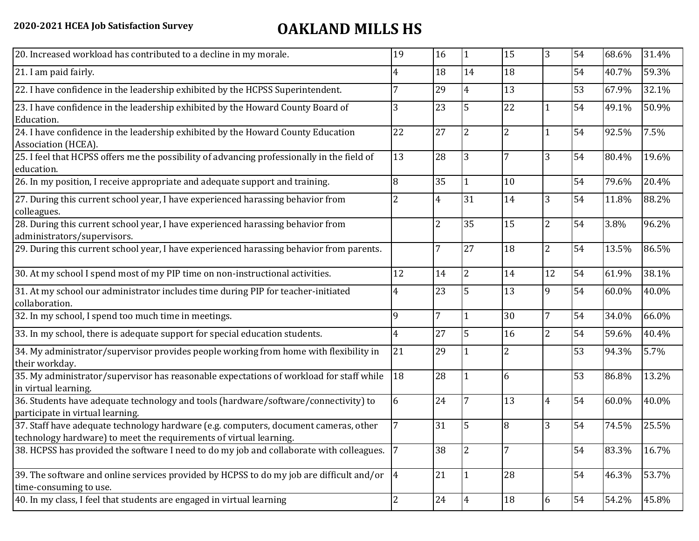## **2020-2021 HCEA Job Satisfaction Survey OAKLAND MILLS HS**

| 20. Increased workload has contributed to a decline in my morale.                                                                                          | 19             | 16             | 11             | 15             | 3              | 54 | 68.6% | 31.4% |
|------------------------------------------------------------------------------------------------------------------------------------------------------------|----------------|----------------|----------------|----------------|----------------|----|-------|-------|
| 21. I am paid fairly.                                                                                                                                      | 4              | 18             | 14             | 18             |                | 54 | 40.7% | 59.3% |
| 22. I have confidence in the leadership exhibited by the HCPSS Superintendent.                                                                             |                | 29             | 4              | 13             |                | 53 | 67.9% | 32.1% |
| 23. I have confidence in the leadership exhibited by the Howard County Board of<br>Education.                                                              | 3              | 23             | 5              | 22             | $\mathbf{1}$   | 54 | 49.1% | 50.9% |
| 24. I have confidence in the leadership exhibited by the Howard County Education<br>Association (HCEA).                                                    | 22             | 27             | 2              | $\overline{2}$ | 1              | 54 | 92.5% | 7.5%  |
| 25. I feel that HCPSS offers me the possibility of advancing professionally in the field of<br>education.                                                  | 13             | 28             | 3              | 7              | $\overline{3}$ | 54 | 80.4% | 19.6% |
| 26. In my position, I receive appropriate and adequate support and training.                                                                               | 8              | 35             | $\mathbf{1}$   | 10             |                | 54 | 79.6% | 20.4% |
| 27. During this current school year, I have experienced harassing behavior from<br>colleagues.                                                             | $\overline{2}$ | $\overline{4}$ | 31             | 14             | 3              | 54 | 11.8% | 88.2% |
| 28. During this current school year, I have experienced harassing behavior from<br>administrators/supervisors.                                             |                | $\overline{2}$ | 35             | 15             | $\overline{2}$ | 54 | 3.8%  | 96.2% |
| 29. During this current school year, I have experienced harassing behavior from parents.                                                                   |                | 7              | 27             | 18             | $\overline{c}$ | 54 | 13.5% | 86.5% |
| 30. At my school I spend most of my PIP time on non-instructional activities.                                                                              | 12             | 14             | $\overline{2}$ | 14             | 12             | 54 | 61.9% | 38.1% |
| 31. At my school our administrator includes time during PIP for teacher-initiated<br>collaboration.                                                        | 4              | 23             | 5              | 13             | 9              | 54 | 60.0% | 40.0% |
| 32. In my school, I spend too much time in meetings.                                                                                                       | 9              | 7              |                | 30             | $\overline{7}$ | 54 | 34.0% | 66.0% |
| 33. In my school, there is adequate support for special education students.                                                                                | 4              | 27             | 5              | 16             | $\overline{2}$ | 54 | 59.6% | 40.4% |
| 34. My administrator/supervisor provides people working from home with flexibility in<br>their workday.                                                    | 21             | 29             |                | $\overline{2}$ |                | 53 | 94.3% | 5.7%  |
| 35. My administrator/supervisor has reasonable expectations of workload for staff while<br>in virtual learning.                                            | 18             | 28             |                | 6              |                | 53 | 86.8% | 13.2% |
| 36. Students have adequate technology and tools (hardware/software/connectivity) to<br>participate in virtual learning.                                    | 6              | 24             |                | 13             | $\overline{4}$ | 54 | 60.0% | 40.0% |
| 37. Staff have adequate technology hardware (e.g. computers, document cameras, other<br>technology hardware) to meet the requirements of virtual learning. |                | 31             | 5              | 8              | 3              | 54 | 74.5% | 25.5% |
| 38. HCPSS has provided the software I need to do my job and collaborate with colleagues.                                                                   | 7              | 38             | 2              | 7              |                | 54 | 83.3% | 16.7% |
| 39. The software and online services provided by HCPSS to do my job are difficult and/or $\left 4\right $<br>time-consuming to use.                        |                | 21             | $\mathbf{1}$   | 28             |                | 54 | 46.3% | 53.7% |
| 40. In my class, I feel that students are engaged in virtual learning                                                                                      | $\overline{2}$ | 24             | $\overline{4}$ | 18             | 6              | 54 | 54.2% | 45.8% |
|                                                                                                                                                            |                |                |                |                |                |    |       |       |